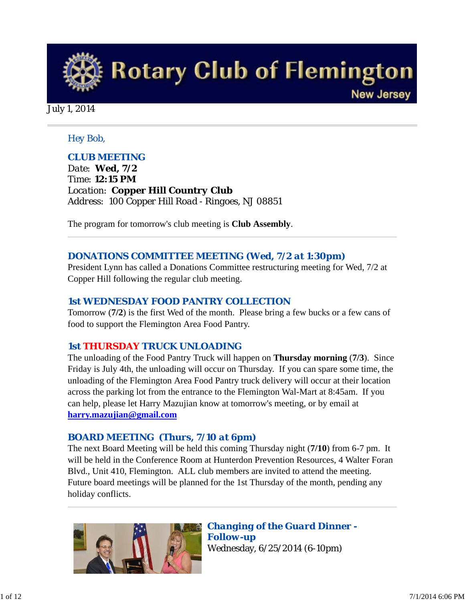

#### *Hey Bob,*

### *CLUB MEETING*

*Date: Wed, 7/2 Time: 12:15 PM Location: Copper Hill Country Club Address: 100 Copper Hill Road - Ringoes, NJ 08851* 

The program for tomorrow's club meeting is **Club Assembly**.

### *DONATIONS COMMITTEE MEETING (Wed, 7/2 at 1:30pm)*

President Lynn has called a Donations Committee restructuring meeting for Wed, 7/2 at Copper Hill following the regular club meeting.

#### *1st WEDNESDAY FOOD PANTRY COLLECTION*

Tomorrow (**7/2**) is the first Wed of the month. Please bring a few bucks or a few cans of food to support the Flemington Area Food Pantry.

#### *1st THURSDAY TRUCK UNLOADING*

The unloading of the Food Pantry Truck will happen on **Thursday morning** (**7/3**). Since Friday is July 4th, the unloading will occur on Thursday. If you can spare some time, the unloading of the Flemington Area Food Pantry truck delivery will occur at their location across the parking lot from the entrance to the Flemington Wal-Mart at 8:45am. If you can help, please let Harry Mazujian know at tomorrow's meeting, or by email at **harry.mazujian@gmail.com**

#### *BOARD MEETING (Thurs, 7/10 at 6pm)*

The next Board Meeting will be held this coming Thursday night (**7/10**) from 6-7 pm. It will be held in the Conference Room at Hunterdon Prevention Resources, 4 Walter Foran Blvd., Unit 410, Flemington. ALL club members are invited to attend the meeting. Future board meetings will be planned for the 1st Thursday of the month, pending any holiday conflicts.



*Changing of the Guard Dinner - Follow-up* Wednesday, 6/25/2014 (6-10pm)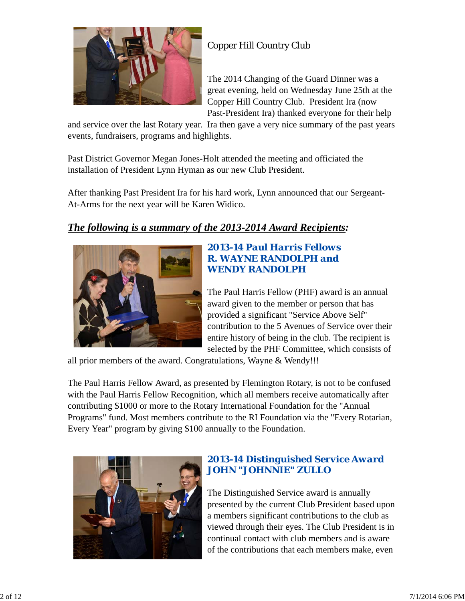

# Copper Hill Country Club

The 2014 Changing of the Guard Dinner was a great evening, held on Wednesday June 25th at the Copper Hill Country Club. President Ira (now Past-President Ira) thanked everyone for their help

and service over the last Rotary year. Ira then gave a very nice summary of the past years events, fundraisers, programs and highlights.

Past District Governor Megan Jones-Holt attended the meeting and officiated the installation of President Lynn Hyman as our new Club President.

After thanking Past President Ira for his hard work, Lynn announced that our Sergeant-At-Arms for the next year will be Karen Widico.

# *The following is a summary of the 2013-2014 Award Recipients:*



### *2013-14 Paul Harris Fellows R. WAYNE RANDOLPH and WENDY RANDOLPH*

The Paul Harris Fellow (PHF) award is an annual award given to the member or person that has provided a significant "Service Above Self" contribution to the 5 Avenues of Service over their entire history of being in the club. The recipient is selected by the PHF Committee, which consists of

all prior members of the award. Congratulations, Wayne & Wendy!!!

The Paul Harris Fellow Award, as presented by Flemington Rotary, is not to be confused with the Paul Harris Fellow Recognition, which all members receive automatically after contributing \$1000 or more to the Rotary International Foundation for the "Annual Programs" fund. Most members contribute to the RI Foundation via the "Every Rotarian, Every Year" program by giving \$100 annually to the Foundation.



# *2013-14 Distinguished Service Award JOHN "JOHNNIE" ZULLO*

The Distinguished Service award is annually presented by the current Club President based upon a members significant contributions to the club as viewed through their eyes. The Club President is in continual contact with club members and is aware of the contributions that each members make, even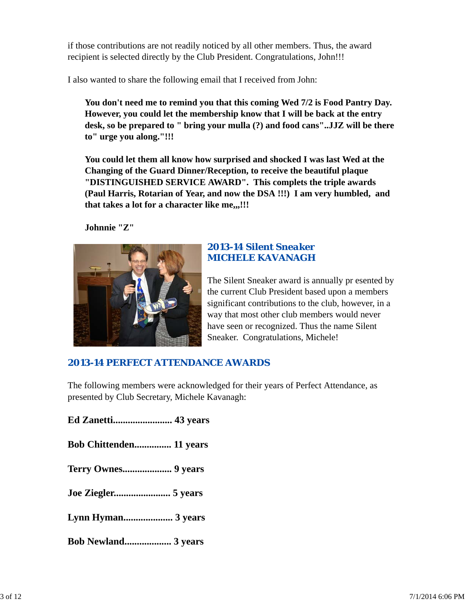if those contributions are not readily noticed by all other members. Thus, the award recipient is selected directly by the Club President. Congratulations, John!!!

I also wanted to share the following email that I received from John:

**You don't need me to remind you that this coming Wed 7/2 is Food Pantry Day. However, you could let the membership know that I will be back at the entry desk, so be prepared to " bring your mulla (?) and food cans"..JJZ will be there to" urge you along."!!!**

**You could let them all know how surprised and shocked I was last Wed at the Changing of the Guard Dinner/Reception, to receive the beautiful plaque "DISTINGUISHED SERVICE AWARD". This complets the triple awards (Paul Harris, Rotarian of Year, and now the DSA !!!) I am very humbled, and that takes a lot for a character like me,,,!!!**

**Johnnie "Z"**



## *2013-14 Silent Sneaker MICHELE KAVANAGH*

The Silent Sneaker award is annually pr esented by the current Club President based upon a members significant contributions to the club, however, in a way that most other club members would never have seen or recognized. Thus the name Silent Sneaker. Congratulations, Michele!

# *2013-14 PERFECT ATTENDANCE AWARDS*

The following members were acknowledged for their years of Perfect Attendance, as presented by Club Secretary, Michele Kavanagh:

**Ed Zanetti........................ 43 years Bob Chittenden............... 11 years Terry Ownes.................... 9 years Joe Ziegler....................... 5 years Lynn Hyman.................... 3 years Bob Newland................... 3 years**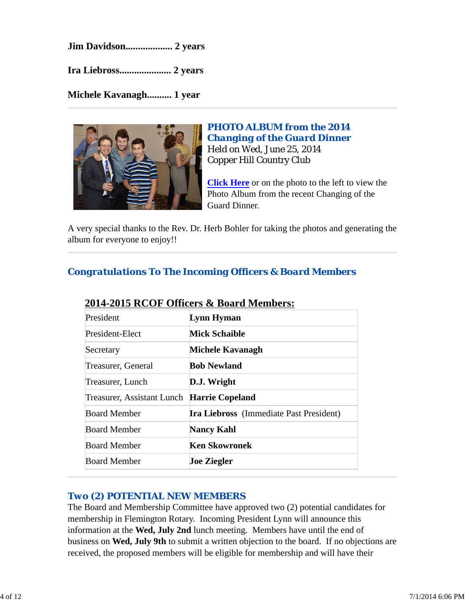**Jim Davidson................... 2 years**

**Ira Liebross..................... 2 years**

**Michele Kavanagh.......... 1 year**



*PHOTO ALBUM from the 2014 Changing of the Guard Dinner* Held on Wed, June 25, 2014 Copper Hill Country Club

**Click Here** or on the photo to the left to view the Photo Album from the recent Changing of the Guard Dinner.

A very special thanks to the Rev. Dr. Herb Bohler for taking the photos and generating the album for everyone to enjoy!!

*Congratulations To The Incoming Officers & Board Members*

| $\blacksquare$ $\blacksquare$ $\blacksquare$ $\blacksquare$ $\blacksquare$ $\blacksquare$ $\blacksquare$ $\blacksquare$ $\blacksquare$ $\blacksquare$ $\blacksquare$ $\blacksquare$ $\blacksquare$ $\blacksquare$ $\blacksquare$ $\blacksquare$ $\blacksquare$ $\blacksquare$ $\blacksquare$ $\blacksquare$ $\blacksquare$ $\blacksquare$ $\blacksquare$ $\blacksquare$ $\blacksquare$ $\blacksquare$ $\blacksquare$ $\blacksquare$ $\blacksquare$ $\blacksquare$ $\blacksquare$ $\blacks$ |
|--------------------------------------------------------------------------------------------------------------------------------------------------------------------------------------------------------------------------------------------------------------------------------------------------------------------------------------------------------------------------------------------------------------------------------------------------------------------------------------------|
| Lynn Hyman                                                                                                                                                                                                                                                                                                                                                                                                                                                                                 |
| <b>Mick Schaible</b>                                                                                                                                                                                                                                                                                                                                                                                                                                                                       |
| Michele Kavanagh                                                                                                                                                                                                                                                                                                                                                                                                                                                                           |
| <b>Bob Newland</b>                                                                                                                                                                                                                                                                                                                                                                                                                                                                         |
| D.J. Wright                                                                                                                                                                                                                                                                                                                                                                                                                                                                                |
| Treasurer, Assistant Lunch Harrie Copeland                                                                                                                                                                                                                                                                                                                                                                                                                                                 |
| <b>Ira Liebross</b> (Immediate Past President)                                                                                                                                                                                                                                                                                                                                                                                                                                             |
| <b>Nancy Kahl</b>                                                                                                                                                                                                                                                                                                                                                                                                                                                                          |
| Ken Skowronek                                                                                                                                                                                                                                                                                                                                                                                                                                                                              |
| <b>Joe Ziegler</b>                                                                                                                                                                                                                                                                                                                                                                                                                                                                         |
|                                                                                                                                                                                                                                                                                                                                                                                                                                                                                            |

# **2014-2015 RCOF Officers & Board Members:**

# *Two (2) POTENTIAL NEW MEMBERS*

The Board and Membership Committee have approved two (2) potential candidates for membership in Flemington Rotary. Incoming President Lynn will announce this information at the **Wed, July 2nd** lunch meeting. Members have until the end of business on **Wed, July 9th** to submit a written objection to the board. If no objections are received, the proposed members will be eligible for membership and will have their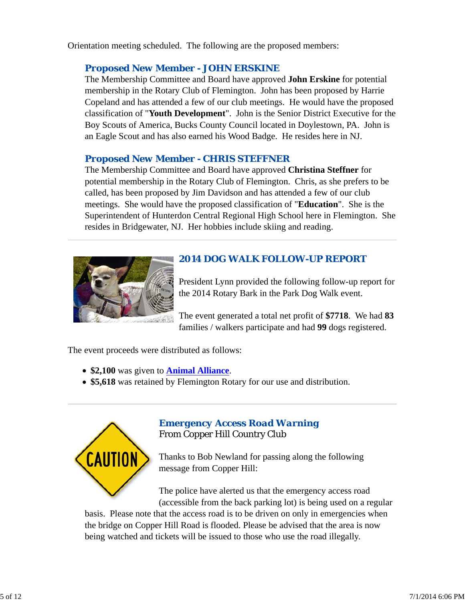Orientation meeting scheduled. The following are the proposed members:

### *Proposed New Member - JOHN ERSKINE*

The Membership Committee and Board have approved **John Erskine** for potential membership in the Rotary Club of Flemington. John has been proposed by Harrie Copeland and has attended a few of our club meetings. He would have the proposed classification of "**Youth Development**". John is the Senior District Executive for the Boy Scouts of America, Bucks County Council located in Doylestown, PA. John is an Eagle Scout and has also earned his Wood Badge. He resides here in NJ.

### *Proposed New Member - CHRIS STEFFNER*

The Membership Committee and Board have approved **Christina Steffner** for potential membership in the Rotary Club of Flemington. Chris, as she prefers to be called, has been proposed by Jim Davidson and has attended a few of our club meetings. She would have the proposed classification of "**Education**". She is the Superintendent of Hunterdon Central Regional High School here in Flemington. She resides in Bridgewater, NJ. Her hobbies include skiing and reading.



# *2014 DOG WALK FOLLOW-UP REPORT*

President Lynn provided the following follow-up report for the 2014 Rotary Bark in the Park Dog Walk event.

The event generated a total net profit of **\$7718**. We had **83** families / walkers participate and had **99** dogs registered.

The event proceeds were distributed as follows:

- **\$2,100** was given to **Animal Alliance**.
- **\$5,618** was retained by Flemington Rotary for our use and distribution.



## *Emergency Access Road Warning* From Copper Hill Country Club

Thanks to Bob Newland for passing along the following message from Copper Hill:

The police have alerted us that the emergency access road (accessible from the back parking lot) is being used on a regular

basis. Please note that the access road is to be driven on only in emergencies when the bridge on Copper Hill Road is flooded. Please be advised that the area is now being watched and tickets will be issued to those who use the road illegally.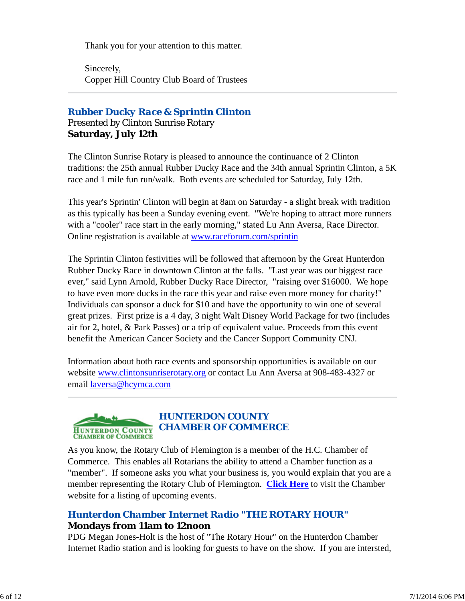Thank you for your attention to this matter.

Sincerely, Copper Hill Country Club Board of Trustees

### *Rubber Ducky Race & Sprintin Clinton* Presented by Clinton Sunrise Rotary **Saturday, July 12th**

The Clinton Sunrise Rotary is pleased to announce the continuance of 2 Clinton traditions: the 25th annual Rubber Ducky Race and the 34th annual Sprintin Clinton, a 5K race and 1 mile fun run/walk. Both events are scheduled for Saturday, July 12th.

This year's Sprintin' Clinton will begin at 8am on Saturday - a slight break with tradition as this typically has been a Sunday evening event. "We're hoping to attract more runners with a "cooler" race start in the early morning," stated Lu Ann Aversa, Race Director. Online registration is available at www.raceforum.com/sprintin

The Sprintin Clinton festivities will be followed that afternoon by the Great Hunterdon Rubber Ducky Race in downtown Clinton at the falls. "Last year was our biggest race ever," said Lynn Arnold, Rubber Ducky Race Director, "raising over \$16000. We hope to have even more ducks in the race this year and raise even more money for charity!" Individuals can sponsor a duck for \$10 and have the opportunity to win one of several great prizes. First prize is a 4 day, 3 night Walt Disney World Package for two (includes air for 2, hotel, & Park Passes) or a trip of equivalent value. Proceeds from this event benefit the American Cancer Society and the Cancer Support Community CNJ.

Information about both race events and sponsorship opportunities is available on our website www.clintonsunriserotary.org or contact Lu Ann Aversa at 908-483-4327 or email laversa@hcymca.com



# *HUNTERDON COUNTY CHAMBER OF COMMERCE*

As you know, the Rotary Club of Flemington is a member of the H.C. Chamber of Commerce. This enables all Rotarians the ability to attend a Chamber function as a "member". If someone asks you what your business is, you would explain that you are a member representing the Rotary Club of Flemington. **Click Here** to visit the Chamber website for a listing of upcoming events.

# *Hunterdon Chamber Internet Radio "THE ROTARY HOUR"* **Mondays from 11am to 12noon**

PDG Megan Jones-Holt is the host of "The Rotary Hour" on the Hunterdon Chamber Internet Radio station and is looking for guests to have on the show. If you are intersted,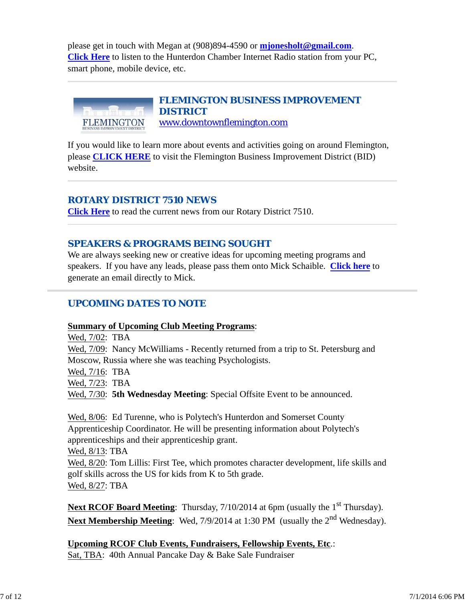please get in touch with Megan at (908)894-4590 or **mjonesholt@gmail.com**. **Click Here** to listen to the Hunterdon Chamber Internet Radio station from your PC, smart phone, mobile device, etc.



If you would like to learn more about events and activities going on around Flemington, please **CLICK HERE** to visit the Flemington Business Improvement District (BID) website.

### *ROTARY DISTRICT 7510 NEWS*

**Click Here** to read the current news from our Rotary District 7510.

### *SPEAKERS & PROGRAMS BEING SOUGHT*

We are always seeking new or creative ideas for upcoming meeting programs and speakers. If you have any leads, please pass them onto Mick Schaible. **Click here** to generate an email directly to Mick.

### *UPCOMING DATES TO NOTE*

**Summary of Upcoming Club Meeting Programs**:

Wed, 7/02: TBA Wed, 7/09: Nancy McWilliams - Recently returned from a trip to St. Petersburg and Moscow, Russia where she was teaching Psychologists. Wed, 7/16: TBA Wed, 7/23: TBA Wed,  $7/30$ : **5th Wednesday Meeting**: Special Offsite Event to be announced.

Wed, 8/06: Ed Turenne, who is Polytech's Hunterdon and Somerset County Apprenticeship Coordinator. He will be presenting information about Polytech's apprenticeships and their apprenticeship grant.

Wed, 8/13: TBA

Wed, 8/20: Tom Lillis: First Tee, which promotes character development, life skills and golf skills across the US for kids from K to 5th grade. Wed, 8/27: TBA

**Next RCOF Board Meeting**: Thursday, 7/10/2014 at 6pm (usually the 1<sup>st</sup> Thursday). **Next Membership Meeting**: Wed, 7/9/2014 at 1:30 PM (usually the 2<sup>nd</sup> Wednesday).

**Upcoming RCOF Club Events, Fundraisers, Fellowship Events, Etc**.: Sat, TBA: 40th Annual Pancake Day & Bake Sale Fundraiser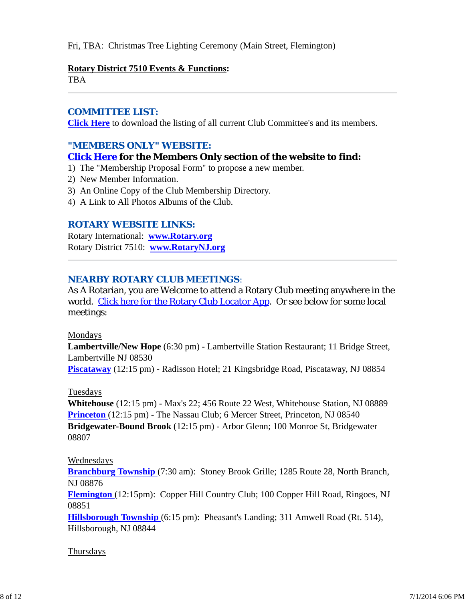#### Fri, TBA: Christmas Tree Lighting Ceremony (Main Street, Flemington)

#### **Rotary District 7510 Events & Functions:**

TBA

#### *COMMITTEE LIST:*

**Click Here** to download the listing of all current Club Committee's and its members.

### *"MEMBERS ONLY" WEBSITE:*

#### **Click Here for the Members Only section of the website to find:**

- 1) The "Membership Proposal Form" to propose a new member.
- 2) New Member Information.
- 3) An Online Copy of the Club Membership Directory.
- 4) A Link to All Photos Albums of the Club.

#### *ROTARY WEBSITE LINKS:*

Rotary International: **www.Rotary.org** Rotary District 7510: **www.RotaryNJ.org**

#### *NEARBY ROTARY CLUB MEETINGS:*

As A Rotarian, you are Welcome to attend a Rotary Club meeting anywhere in the world. Click here for the Rotary Club Locator App. Or see below for some local meetings:

#### Mondays

**Lambertville/New Hope** (6:30 pm) - Lambertville Station Restaurant; 11 Bridge Street, Lambertville NJ 08530

**Piscataway** (12:15 pm) - Radisson Hotel; 21 Kingsbridge Road, Piscataway, NJ 08854

#### Tuesdays

**Whitehouse** (12:15 pm) - Max's 22; 456 Route 22 West, Whitehouse Station, NJ 08889 **Princeton** (12:15 pm) - The Nassau Club; 6 Mercer Street, Princeton, NJ 08540 **Bridgewater-Bound Brook** (12:15 pm) - Arbor Glenn; 100 Monroe St, Bridgewater 08807

#### Wednesdays

**Branchburg Township** (7:30 am): Stoney Brook Grille; 1285 Route 28, North Branch, NJ 08876

**Flemington** (12:15pm): Copper Hill Country Club; 100 Copper Hill Road, Ringoes, NJ 08851

**Hillsborough Township** (6:15 pm): Pheasant's Landing; 311 Amwell Road (Rt. 514), Hillsborough, NJ 08844

#### Thursdays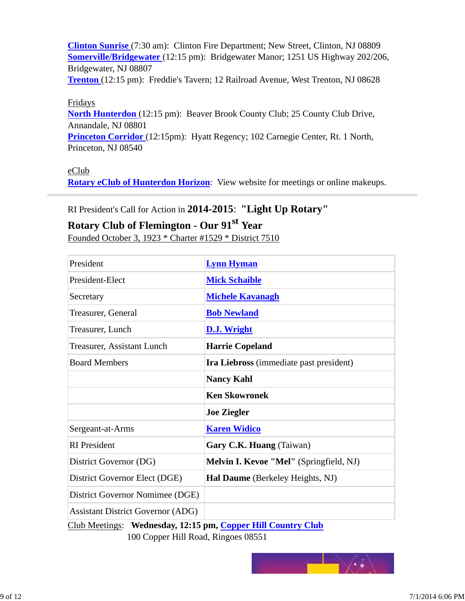**Clinton Sunrise** (7:30 am): Clinton Fire Department; New Street, Clinton, NJ 08809 **Somerville/Bridgewater** (12:15 pm): Bridgewater Manor; 1251 US Highway 202/206, Bridgewater, NJ 08807

**Trenton** (12:15 pm): Freddie's Tavern; 12 Railroad Avenue, West Trenton, NJ 08628

#### Fridays

**North Hunterdon** (12:15 pm): Beaver Brook County Club; 25 County Club Drive, Annandale, NJ 08801

**Princeton Corridor** (12:15pm): Hyatt Regency; 102 Carnegie Center, Rt. 1 North, Princeton, NJ 08540

#### eClub

**Rotary eClub of Hunterdon Horizon**: View website for meetings or online makeups.

### RI President's Call for Action in **2014-2015**: **"Light Up Rotary"**

# **Rotary Club of Flemington - Our 91st Year**

Founded October 3, 1923 \* Charter #1529 \* District 7510

| President                                                  | <b>Lynn Hyman</b>                       |  |  |  |
|------------------------------------------------------------|-----------------------------------------|--|--|--|
| President-Elect                                            | <b>Mick Schaible</b>                    |  |  |  |
| Secretary                                                  | <b>Michele Kavanagh</b>                 |  |  |  |
| Treasurer, General                                         | <b>Bob Newland</b>                      |  |  |  |
| Treasurer, Lunch                                           | <b>D.J. Wright</b>                      |  |  |  |
| Treasurer, Assistant Lunch                                 | <b>Harrie Copeland</b>                  |  |  |  |
| <b>Board Members</b>                                       | Ira Liebross (immediate past president) |  |  |  |
|                                                            | <b>Nancy Kahl</b>                       |  |  |  |
|                                                            | <b>Ken Skowronek</b>                    |  |  |  |
|                                                            | <b>Joe Ziegler</b>                      |  |  |  |
| Sergeant-at-Arms                                           | <b>Karen Widico</b>                     |  |  |  |
| <b>RI</b> President                                        | Gary C.K. Huang (Taiwan)                |  |  |  |
| District Governor (DG)                                     | Melvin I. Kevoe "Mel" (Springfield, NJ) |  |  |  |
| District Governor Elect (DGE)                              | Hal Daume (Berkeley Heights, NJ)        |  |  |  |
| District Governor Nomimee (DGE)                            |                                         |  |  |  |
| <b>Assistant District Governor (ADG)</b>                   |                                         |  |  |  |
| Club Meetings: Wednesday 12:15 pm Conper Hill Country Club |                                         |  |  |  |

esday, 12:15 pm, Coppe 100 Copper Hill Road, Ringoes 08551

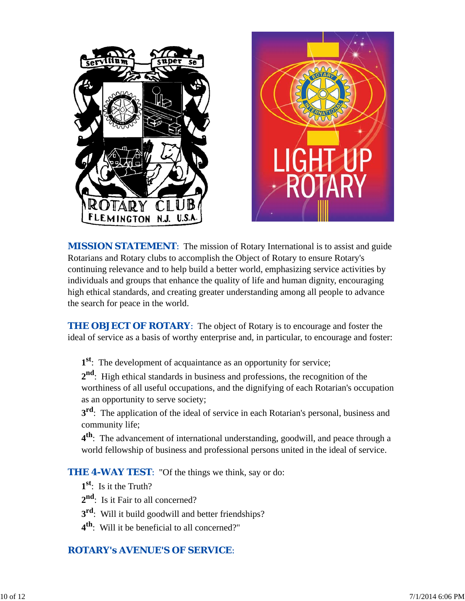

*MISSION STATEMENT*: The mission of Rotary International is to assist and guide Rotarians and Rotary clubs to accomplish the Object of Rotary to ensure Rotary's continuing relevance and to help build a better world, emphasizing service activities by individuals and groups that enhance the quality of life and human dignity, encouraging high ethical standards, and creating greater understanding among all people to advance the search for peace in the world.

**THE OBJECT OF ROTARY:** The object of Rotary is to encourage and foster the ideal of service as a basis of worthy enterprise and, in particular, to encourage and foster:

**1st**: The development of acquaintance as an opportunity for service;

**2nd**: High ethical standards in business and professions, the recognition of the worthiness of all useful occupations, and the dignifying of each Rotarian's occupation as an opportunity to serve society;

**3<sup>rd</sup>**: The application of the ideal of service in each Rotarian's personal, business and community life;

**4th**: The advancement of international understanding, goodwill, and peace through a world fellowship of business and professional persons united in the ideal of service.

**THE 4-WAY TEST:** "Of the things we think, say or do:

- **1st**: Is it the Truth?
- 2<sup>nd</sup>: Is it Fair to all concerned?
- **3rd**: Will it build goodwill and better friendships?
- **4th**: Will it be beneficial to all concerned?"

# *ROTARY's AVENUE'S OF SERVICE*: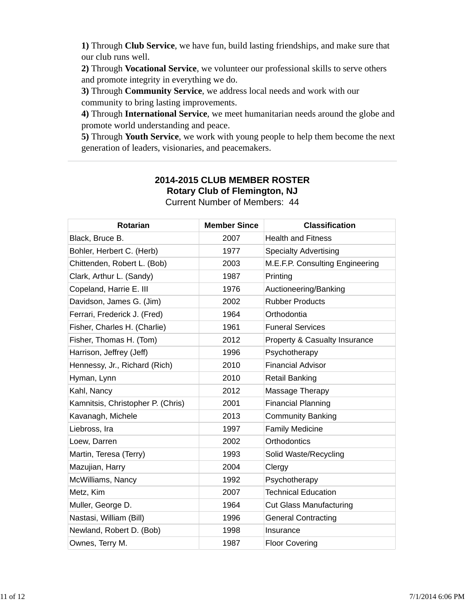**1)** Through **Club Service**, we have fun, build lasting friendships, and make sure that our club runs well.

**2)** Through **Vocational Service**, we volunteer our professional skills to serve others and promote integrity in everything we do.

**3)** Through **Community Service**, we address local needs and work with our community to bring lasting improvements.

**4)** Through **International Service**, we meet humanitarian needs around the globe and promote world understanding and peace.

**5)** Through **Youth Service**, we work with young people to help them become the next generation of leaders, visionaries, and peacemakers.

#### **2014-2015 CLUB MEMBER ROSTER Rotary Club of Flemington, NJ** Current Number of Members: 44

| <b>Rotarian</b>                   | <b>Member Since</b> | <b>Classification</b>           |
|-----------------------------------|---------------------|---------------------------------|
| Black, Bruce B.                   | 2007                | <b>Health and Fitness</b>       |
| Bohler, Herbert C. (Herb)         | 1977                | <b>Specialty Advertising</b>    |
| Chittenden, Robert L. (Bob)       | 2003                | M.E.F.P. Consulting Engineering |
| Clark, Arthur L. (Sandy)          | 1987                | Printing                        |
| Copeland, Harrie E. III           | 1976                | Auctioneering/Banking           |
| Davidson, James G. (Jim)          | 2002                | <b>Rubber Products</b>          |
| Ferrari, Frederick J. (Fred)      | 1964                | Orthodontia                     |
| Fisher, Charles H. (Charlie)      | 1961                | <b>Funeral Services</b>         |
| Fisher, Thomas H. (Tom)           | 2012                | Property & Casualty Insurance   |
| Harrison, Jeffrey (Jeff)          | 1996                | Psychotherapy                   |
| Hennessy, Jr., Richard (Rich)     | 2010                | <b>Financial Advisor</b>        |
| Hyman, Lynn                       | 2010                | <b>Retail Banking</b>           |
| Kahl, Nancy                       | 2012                | Massage Therapy                 |
| Kamnitsis, Christopher P. (Chris) | 2001                | <b>Financial Planning</b>       |
| Kavanagh, Michele                 | 2013                | <b>Community Banking</b>        |
| Liebross, Ira                     | 1997                | <b>Family Medicine</b>          |
| Loew, Darren                      | 2002                | Orthodontics                    |
| Martin, Teresa (Terry)            | 1993                | Solid Waste/Recycling           |
| Mazujian, Harry                   | 2004                | Clergy                          |
| McWilliams, Nancy                 | 1992                | Psychotherapy                   |
| Metz, Kim                         | 2007                | <b>Technical Education</b>      |
| Muller, George D.                 | 1964                | <b>Cut Glass Manufacturing</b>  |
| Nastasi, William (Bill)           | 1996                | <b>General Contracting</b>      |
| Newland, Robert D. (Bob)          | 1998                | Insurance                       |
| Ownes, Terry M.                   | 1987                | <b>Floor Covering</b>           |